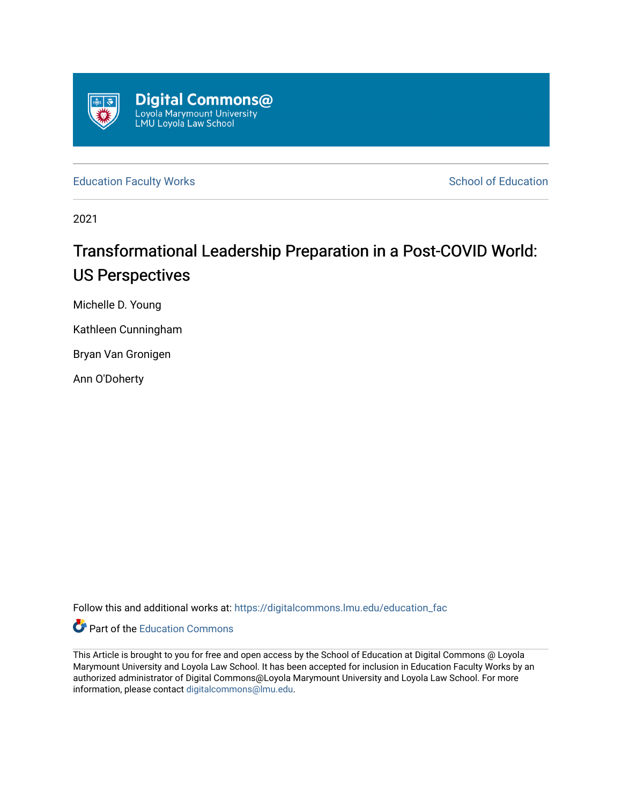

[Education Faculty Works](https://digitalcommons.lmu.edu/education_fac) **Education** School of Education

2021

# Transformational Leadership Preparation in a Post-COVID World: US Perspectives

Michelle D. Young

Kathleen Cunningham

Bryan Van Gronigen

Ann O'Doherty

Follow this and additional works at: [https://digitalcommons.lmu.edu/education\\_fac](https://digitalcommons.lmu.edu/education_fac?utm_source=digitalcommons.lmu.edu%2Feducation_fac%2F76&utm_medium=PDF&utm_campaign=PDFCoverPages) 



This Article is brought to you for free and open access by the School of Education at Digital Commons @ Loyola Marymount University and Loyola Law School. It has been accepted for inclusion in Education Faculty Works by an authorized administrator of Digital Commons@Loyola Marymount University and Loyola Law School. For more information, please contact [digitalcommons@lmu.edu.](mailto:digitalcommons@lmu.edu)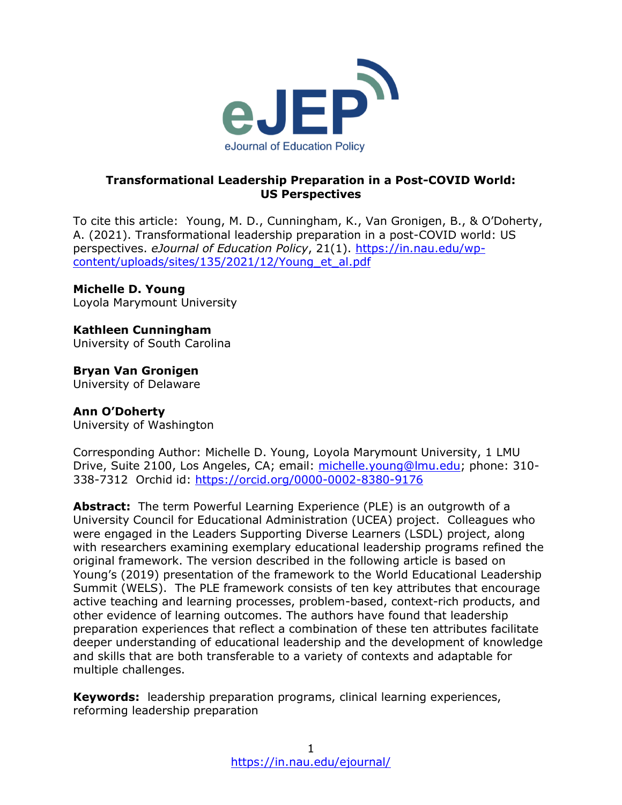

## **Transformational Leadership Preparation in a Post-COVID World: US Perspectives**

To cite this article: Young, M. D., Cunningham, K., Van Gronigen, B., & O'Doherty, A. (2021). Transformational leadership preparation in a post-COVID world: US perspectives. *eJournal of Education Policy*, 21(1). [https://in.nau.edu/wp](https://in.nau.edu/wp-content/uploads/sites/135/2021/12/Young_et_al.pdf)[content/uploads/sites/135/2021/12/Young\\_et\\_al.pdf](https://in.nau.edu/wp-content/uploads/sites/135/2021/12/Young_et_al.pdf)

## **Michelle D. Young**

Loyola Marymount University

# **Kathleen Cunningham**

University of South Carolina

## **Bryan Van Gronigen**

University of Delaware

## **Ann O'Doherty**

University of Washington

Corresponding Author: Michelle D. Young, Loyola Marymount University, 1 LMU Drive, Suite 2100, Los Angeles, CA; email: [michelle.young@lmu.edu;](mailto:michelle.young@lmu.edu) phone: 310- 338-7312 Orchid id:<https://orcid.org/0000-0002-8380-9176>

**Abstract:** The term Powerful Learning Experience (PLE) is an outgrowth of a University Council for Educational Administration (UCEA) project. Colleagues who were engaged in the Leaders Supporting Diverse Learners (LSDL) project, along with researchers examining exemplary educational leadership programs refined the original framework. The version described in the following article is based on Young's (2019) presentation of the framework to the World Educational Leadership Summit (WELS). The PLE framework consists of ten key attributes that encourage active teaching and learning processes, problem-based, context-rich products, and other evidence of learning outcomes. The authors have found that leadership preparation experiences that reflect a combination of these ten attributes facilitate deeper understanding of educational leadership and the development of knowledge and skills that are both transferable to a variety of contexts and adaptable for multiple challenges.

**Keywords:** leadership preparation programs, clinical learning experiences, reforming leadership preparation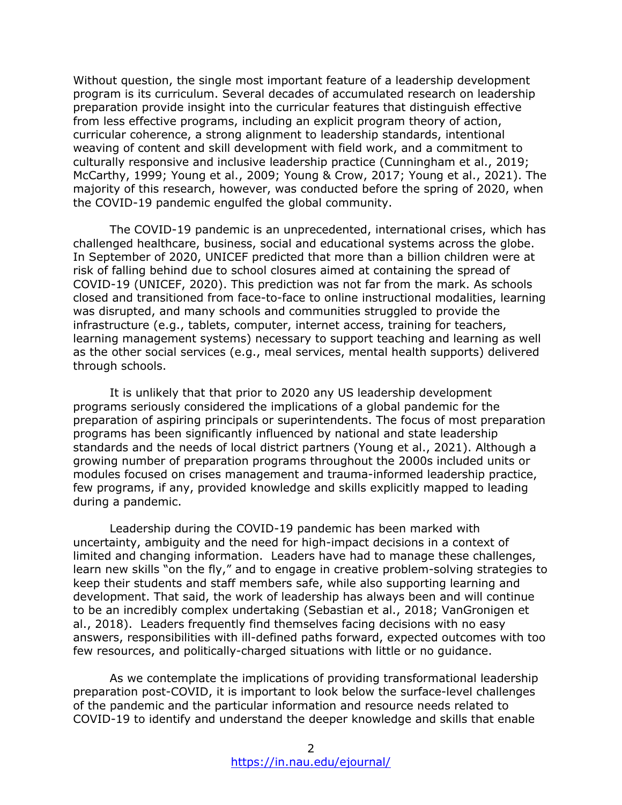Without question, the single most important feature of a leadership development program is its curriculum. Several decades of accumulated research on leadership preparation provide insight into the curricular features that distinguish effective from less effective programs, including an explicit program theory of action, curricular coherence, a strong alignment to leadership standards, intentional weaving of content and skill development with field work, and a commitment to culturally responsive and inclusive leadership practice (Cunningham et al., 2019; McCarthy, 1999; Young et al., 2009; Young & Crow, 2017; Young et al., 2021). The majority of this research, however, was conducted before the spring of 2020, when the COVID-19 pandemic engulfed the global community.

The COVID-19 pandemic is an unprecedented, international crises, which has challenged healthcare, business, social and educational systems across the globe. In September of 2020, UNICEF predicted that more than a billion children were at risk of falling behind due to school closures aimed at containing the spread of COVID-19 (UNICEF, 2020). This prediction was not far from the mark. As schools closed and transitioned from face-to-face to online instructional modalities, learning was disrupted, and many schools and communities struggled to provide the infrastructure (e.g., tablets, computer, internet access, training for teachers, learning management systems) necessary to support teaching and learning as well as the other social services (e.g., meal services, mental health supports) delivered through schools.

It is unlikely that that prior to 2020 any US leadership development programs seriously considered the implications of a global pandemic for the preparation of aspiring principals or superintendents. The focus of most preparation programs has been significantly influenced by national and state leadership standards and the needs of local district partners (Young et al., 2021). Although a growing number of preparation programs throughout the 2000s included units or modules focused on crises management and trauma-informed leadership practice, few programs, if any, provided knowledge and skills explicitly mapped to leading during a pandemic.

Leadership during the COVID-19 pandemic has been marked with uncertainty, ambiguity and the need for high-impact decisions in a context of limited and changing information. Leaders have had to manage these challenges, learn new skills "on the fly," and to engage in creative problem-solving strategies to keep their students and staff members safe, while also supporting learning and development. That said, the work of leadership has always been and will continue to be an incredibly complex undertaking (Sebastian et al., 2018; VanGronigen et al., 2018). Leaders frequently find themselves facing decisions with no easy answers, responsibilities with ill-defined paths forward, expected outcomes with too few resources, and politically-charged situations with little or no guidance.

As we contemplate the implications of providing transformational leadership preparation post-COVID, it is important to look below the surface-level challenges of the pandemic and the particular information and resource needs related to COVID-19 to identify and understand the deeper knowledge and skills that enable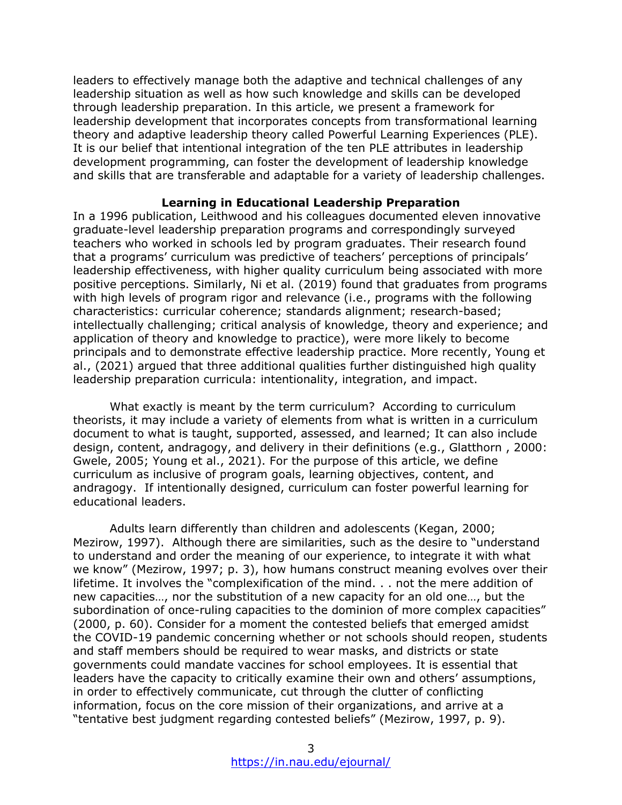leaders to effectively manage both the adaptive and technical challenges of any leadership situation as well as how such knowledge and skills can be developed through leadership preparation. In this article, we present a framework for leadership development that incorporates concepts from transformational learning theory and adaptive leadership theory called Powerful Learning Experiences (PLE). It is our belief that intentional integration of the ten PLE attributes in leadership development programming, can foster the development of leadership knowledge and skills that are transferable and adaptable for a variety of leadership challenges.

#### **Learning in Educational Leadership Preparation**

In a 1996 publication, Leithwood and his colleagues documented eleven innovative graduate-level leadership preparation programs and correspondingly surveyed teachers who worked in schools led by program graduates. Their research found that a programs' curriculum was predictive of teachers' perceptions of principals' leadership effectiveness, with higher quality curriculum being associated with more positive perceptions. Similarly, Ni et al. (2019) found that graduates from programs with high levels of program rigor and relevance (i.e., programs with the following characteristics: curricular coherence; standards alignment; research-based; intellectually challenging; critical analysis of knowledge, theory and experience; and application of theory and knowledge to practice), were more likely to become principals and to demonstrate effective leadership practice. More recently, Young et al., (2021) argued that three additional qualities further distinguished high quality leadership preparation curricula: intentionality, integration, and impact.

What exactly is meant by the term curriculum? According to curriculum theorists, it may include a variety of elements from what is written in a curriculum document to what is taught, supported, assessed, and learned; It can also include design, content, andragogy, and delivery in their definitions (e.g., Glatthorn , 2000: Gwele, 2005; Young et al., 2021). For the purpose of this article, we define curriculum as inclusive of program goals, learning objectives, content, and andragogy. If intentionally designed, curriculum can foster powerful learning for educational leaders.

Adults learn differently than children and adolescents (Kegan, 2000; Mezirow, 1997). Although there are similarities, such as the desire to "understand to understand and order the meaning of our experience, to integrate it with what we know" (Mezirow, 1997; p. 3), how humans construct meaning evolves over their lifetime. It involves the "complexification of the mind. . . not the mere addition of new capacities…, nor the substitution of a new capacity for an old one…, but the subordination of once-ruling capacities to the dominion of more complex capacities" (2000, p. 60). Consider for a moment the contested beliefs that emerged amidst the COVID-19 pandemic concerning whether or not schools should reopen, students and staff members should be required to wear masks, and districts or state governments could mandate vaccines for school employees. It is essential that leaders have the capacity to critically examine their own and others' assumptions, in order to effectively communicate, cut through the clutter of conflicting information, focus on the core mission of their organizations, and arrive at a "tentative best judgment regarding contested beliefs" (Mezirow, 1997, p. 9).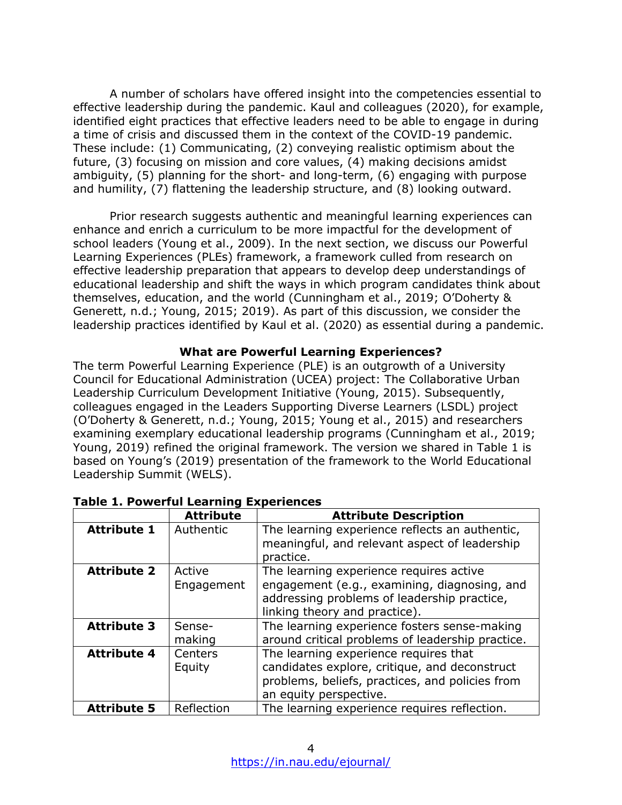A number of scholars have offered insight into the competencies essential to effective leadership during the pandemic. Kaul and colleagues (2020), for example, identified eight practices that effective leaders need to be able to engage in during a time of crisis and discussed them in the context of the COVID-19 pandemic. These include: (1) Communicating, (2) conveying realistic optimism about the future, (3) focusing on mission and core values, (4) making decisions amidst ambiguity, (5) planning for the short- and long-term, (6) engaging with purpose and humility, (7) flattening the leadership structure, and (8) looking outward.

Prior research suggests authentic and meaningful learning experiences can enhance and enrich a curriculum to be more impactful for the development of school leaders (Young et al., 2009). In the next section, we discuss our Powerful Learning Experiences (PLEs) framework, a framework culled from research on effective leadership preparation that appears to develop deep understandings of educational leadership and shift the ways in which program candidates think about themselves, education, and the world (Cunningham et al., 2019; O'Doherty & Generett, n.d.; Young, 2015; 2019). As part of this discussion, we consider the leadership practices identified by Kaul et al. (2020) as essential during a pandemic.

## **What are Powerful Learning Experiences?**

The term Powerful Learning Experience (PLE) is an outgrowth of a University Council for Educational Administration (UCEA) project: The Collaborative Urban Leadership Curriculum Development Initiative (Young, 2015). Subsequently, colleagues engaged in the Leaders Supporting Diverse Learners (LSDL) project (O'Doherty & Generett, n.d.; Young, 2015; Young et al., 2015) and researchers examining exemplary educational leadership programs (Cunningham et al., 2019; Young, 2019) refined the original framework. The version we shared in Table 1 is based on Young's (2019) presentation of the framework to the World Educational Leadership Summit (WELS).

|                    | <b>Attribute</b>     | <b>Attribute Description</b>                                                                                                                                            |
|--------------------|----------------------|-------------------------------------------------------------------------------------------------------------------------------------------------------------------------|
| <b>Attribute 1</b> | Authentic            | The learning experience reflects an authentic,<br>meaningful, and relevant aspect of leadership<br>practice.                                                            |
| <b>Attribute 2</b> | Active<br>Engagement | The learning experience requires active<br>engagement (e.g., examining, diagnosing, and<br>addressing problems of leadership practice,<br>linking theory and practice). |
| <b>Attribute 3</b> | Sense-<br>making     | The learning experience fosters sense-making<br>around critical problems of leadership practice.                                                                        |
| <b>Attribute 4</b> | Centers<br>Equity    | The learning experience requires that<br>candidates explore, critique, and deconstruct<br>problems, beliefs, practices, and policies from<br>an equity perspective.     |
| <b>Attribute 5</b> | Reflection           | The learning experience requires reflection.                                                                                                                            |

## **Table 1. Powerful Learning Experiences**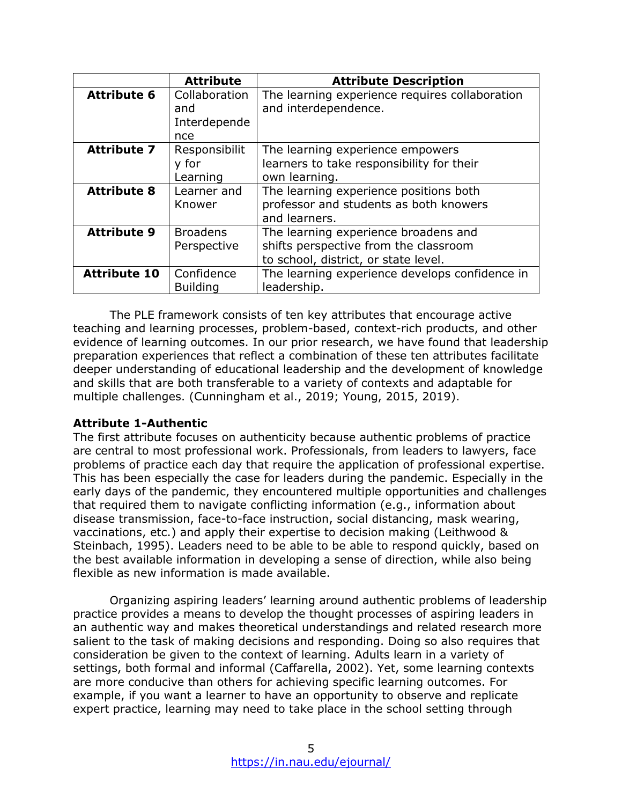|                     | <b>Attribute</b>                            | <b>Attribute Description</b>                                                                                          |
|---------------------|---------------------------------------------|-----------------------------------------------------------------------------------------------------------------------|
| <b>Attribute 6</b>  | Collaboration<br>and<br>Interdepende<br>nce | The learning experience requires collaboration<br>and interdependence.                                                |
| <b>Attribute 7</b>  | Responsibilit<br>y for<br>Learning          | The learning experience empowers<br>learners to take responsibility for their<br>own learning.                        |
| <b>Attribute 8</b>  | Learner and<br>Knower                       | The learning experience positions both<br>professor and students as both knowers<br>and learners.                     |
| <b>Attribute 9</b>  | <b>Broadens</b><br>Perspective              | The learning experience broadens and<br>shifts perspective from the classroom<br>to school, district, or state level. |
| <b>Attribute 10</b> | Confidence<br><b>Building</b>               | The learning experience develops confidence in<br>leadership.                                                         |

The PLE framework consists of ten key attributes that encourage active teaching and learning processes, problem-based, context-rich products, and other evidence of learning outcomes. In our prior research, we have found that leadership preparation experiences that reflect a combination of these ten attributes facilitate deeper understanding of educational leadership and the development of knowledge and skills that are both transferable to a variety of contexts and adaptable for multiple challenges. (Cunningham et al., 2019; Young, 2015, 2019).

## **Attribute 1-Authentic**

The first attribute focuses on authenticity because authentic problems of practice are central to most professional work. Professionals, from leaders to lawyers, face problems of practice each day that require the application of professional expertise. This has been especially the case for leaders during the pandemic. Especially in the early days of the pandemic, they encountered multiple opportunities and challenges that required them to navigate conflicting information (e.g., information about disease transmission, face-to-face instruction, social distancing, mask wearing, vaccinations, etc.) and apply their expertise to decision making (Leithwood & Steinbach, 1995). Leaders need to be able to be able to respond quickly, based on the best available information in developing a sense of direction, while also being flexible as new information is made available.

Organizing aspiring leaders' learning around authentic problems of leadership practice provides a means to develop the thought processes of aspiring leaders in an authentic way and makes theoretical understandings and related research more salient to the task of making decisions and responding. Doing so also requires that consideration be given to the context of learning. Adults learn in a variety of settings, both formal and informal (Caffarella, 2002). Yet, some learning contexts are more conducive than others for achieving specific learning outcomes. For example, if you want a learner to have an opportunity to observe and replicate expert practice, learning may need to take place in the school setting through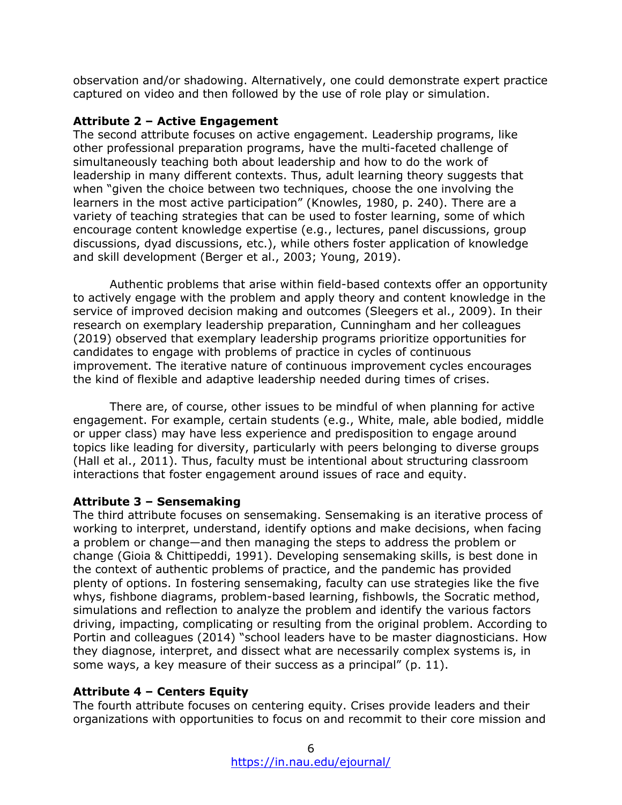observation and/or shadowing. Alternatively, one could demonstrate expert practice captured on video and then followed by the use of role play or simulation.

## **Attribute 2 – Active Engagement**

The second attribute focuses on active engagement. Leadership programs, like other professional preparation programs, have the multi-faceted challenge of simultaneously teaching both about leadership and how to do the work of leadership in many different contexts. Thus, adult learning theory suggests that when "given the choice between two techniques, choose the one involving the learners in the most active participation" (Knowles, 1980, p. 240). There are a variety of teaching strategies that can be used to foster learning, some of which encourage content knowledge expertise (e.g., lectures, panel discussions, group discussions, dyad discussions, etc.), while others foster application of knowledge and skill development (Berger et al., 2003; Young, 2019).

Authentic problems that arise within field-based contexts offer an opportunity to actively engage with the problem and apply theory and content knowledge in the service of improved decision making and outcomes (Sleegers et al., 2009). In their research on exemplary leadership preparation, Cunningham and her colleagues (2019) observed that exemplary leadership programs prioritize opportunities for candidates to engage with problems of practice in cycles of continuous improvement. The iterative nature of continuous improvement cycles encourages the kind of flexible and adaptive leadership needed during times of crises.

There are, of course, other issues to be mindful of when planning for active engagement. For example, certain students (e.g., White, male, able bodied, middle or upper class) may have less experience and predisposition to engage around topics like leading for diversity, particularly with peers belonging to diverse groups (Hall et al., 2011). Thus, faculty must be intentional about structuring classroom interactions that foster engagement around issues of race and equity.

## **Attribute 3 – Sensemaking**

The third attribute focuses on sensemaking. Sensemaking is an iterative process of working to interpret, understand, identify options and make decisions, when facing a problem or change—and then managing the steps to address the problem or change (Gioia & Chittipeddi, 1991). Developing sensemaking skills, is best done in the context of authentic problems of practice, and the pandemic has provided plenty of options. In fostering sensemaking, faculty can use strategies like the five whys, fishbone diagrams, problem-based learning, fishbowls, the Socratic method, simulations and reflection to analyze the problem and identify the various factors driving, impacting, complicating or resulting from the original problem. According to Portin and colleagues (2014) "school leaders have to be master diagnosticians. How they diagnose, interpret, and dissect what are necessarily complex systems is, in some ways, a key measure of their success as a principal" (p. 11).

## **Attribute 4 – Centers Equity**

The fourth attribute focuses on centering equity. Crises provide leaders and their organizations with opportunities to focus on and recommit to their core mission and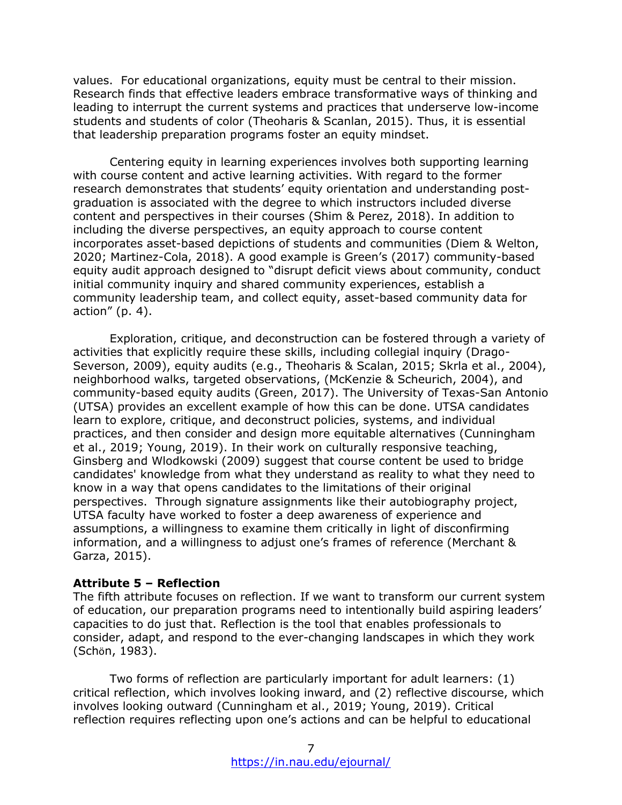values. For educational organizations, equity must be central to their mission. Research finds that effective leaders embrace transformative ways of thinking and leading to interrupt the current systems and practices that underserve low-income students and students of color (Theoharis & Scanlan, 2015). Thus, it is essential that leadership preparation programs foster an equity mindset.

Centering equity in learning experiences involves both supporting learning with course content and active learning activities. With regard to the former research demonstrates that students' equity orientation and understanding postgraduation is associated with the degree to which instructors included diverse content and perspectives in their courses (Shim & Perez, 2018). In addition to including the diverse perspectives, an equity approach to course content incorporates asset-based depictions of students and communities (Diem & Welton, 2020; Martinez-Cola, 2018). A good example is Green's (2017) community-based equity audit approach designed to "disrupt deficit views about community, conduct initial community inquiry and shared community experiences, establish a community leadership team, and collect equity, asset-based community data for action"  $(p. 4)$ .

Exploration, critique, and deconstruction can be fostered through a variety of activities that explicitly require these skills, including collegial inquiry (Drago-Severson, 2009), equity audits (e.g., Theoharis & Scalan, 2015; Skrla et al., 2004), neighborhood walks, targeted observations, (McKenzie & Scheurich, 2004), and community-based equity audits (Green, 2017). The University of Texas-San Antonio (UTSA) provides an excellent example of how this can be done. UTSA candidates learn to explore, critique, and deconstruct policies, systems, and individual practices, and then consider and design more equitable alternatives (Cunningham et al., 2019; Young, 2019). In their work on culturally responsive teaching, Ginsberg and Wlodkowski (2009) suggest that course content be used to bridge candidates' knowledge from what they understand as reality to what they need to know in a way that opens candidates to the limitations of their original perspectives. Through signature assignments like their autobiography project, UTSA faculty have worked to foster a deep awareness of experience and assumptions, a willingness to examine them critically in light of disconfirming information, and a willingness to adjust one's frames of reference (Merchant & Garza, 2015).

#### **Attribute 5 – Reflection**

The fifth attribute focuses on reflection. If we want to transform our current system of education, our preparation programs need to intentionally build aspiring leaders' capacities to do just that. Reflection is the tool that enables professionals to consider, adapt, and respond to the ever-changing landscapes in which they work (Schӧn, 1983).

Two forms of reflection are particularly important for adult learners: (1) critical reflection, which involves looking inward, and (2) reflective discourse, which involves looking outward (Cunningham et al., 2019; Young, 2019). Critical reflection requires reflecting upon one's actions and can be helpful to educational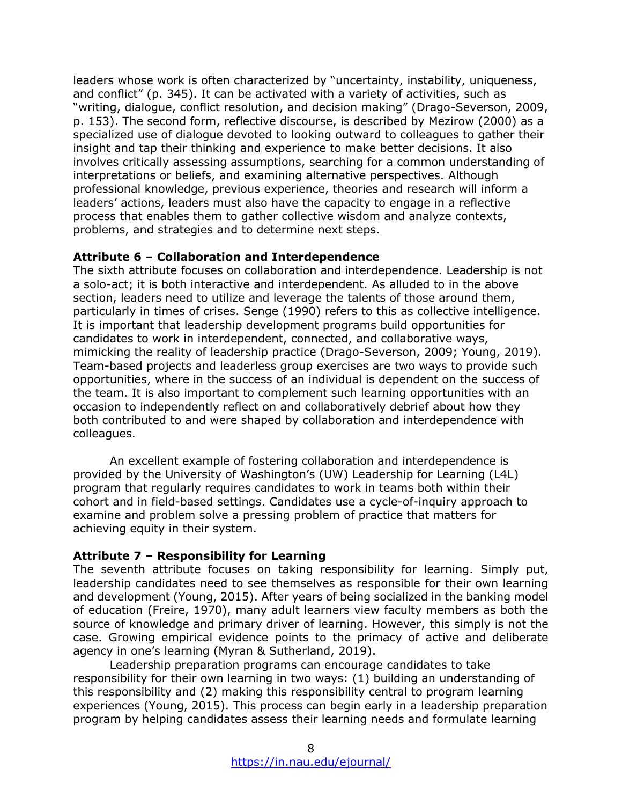leaders whose work is often characterized by "uncertainty, instability, uniqueness, and conflict" (p. 345). It can be activated with a variety of activities, such as "writing, dialogue, conflict resolution, and decision making" (Drago-Severson, 2009, p. 153). The second form, reflective discourse, is described by Mezirow (2000) as a specialized use of dialogue devoted to looking outward to colleagues to gather their insight and tap their thinking and experience to make better decisions. It also involves critically assessing assumptions, searching for a common understanding of interpretations or beliefs, and examining alternative perspectives. Although professional knowledge, previous experience, theories and research will inform a leaders' actions, leaders must also have the capacity to engage in a reflective process that enables them to gather collective wisdom and analyze contexts, problems, and strategies and to determine next steps.

#### **Attribute 6 – Collaboration and Interdependence**

The sixth attribute focuses on collaboration and interdependence. Leadership is not a solo-act; it is both interactive and interdependent. As alluded to in the above section, leaders need to utilize and leverage the talents of those around them, particularly in times of crises. Senge (1990) refers to this as collective intelligence. It is important that leadership development programs build opportunities for candidates to work in interdependent, connected, and collaborative ways, mimicking the reality of leadership practice (Drago-Severson, 2009; Young, 2019). Team-based projects and leaderless group exercises are two ways to provide such opportunities, where in the success of an individual is dependent on the success of the team. It is also important to complement such learning opportunities with an occasion to independently reflect on and collaboratively debrief about how they both contributed to and were shaped by collaboration and interdependence with colleagues.

An excellent example of fostering collaboration and interdependence is provided by the University of Washington's (UW) Leadership for Learning (L4L) program that regularly requires candidates to work in teams both within their cohort and in field-based settings. Candidates use a cycle-of-inquiry approach to examine and problem solve a pressing problem of practice that matters for achieving equity in their system.

## **Attribute 7 – Responsibility for Learning**

The seventh attribute focuses on taking responsibility for learning. Simply put, leadership candidates need to see themselves as responsible for their own learning and development (Young, 2015). After years of being socialized in the banking model of education (Freire, 1970), many adult learners view faculty members as both the source of knowledge and primary driver of learning. However, this simply is not the case. Growing empirical evidence points to the primacy of active and deliberate agency in one's learning (Myran & Sutherland, 2019).

Leadership preparation programs can encourage candidates to take responsibility for their own learning in two ways: (1) building an understanding of this responsibility and (2) making this responsibility central to program learning experiences (Young, 2015). This process can begin early in a leadership preparation program by helping candidates assess their learning needs and formulate learning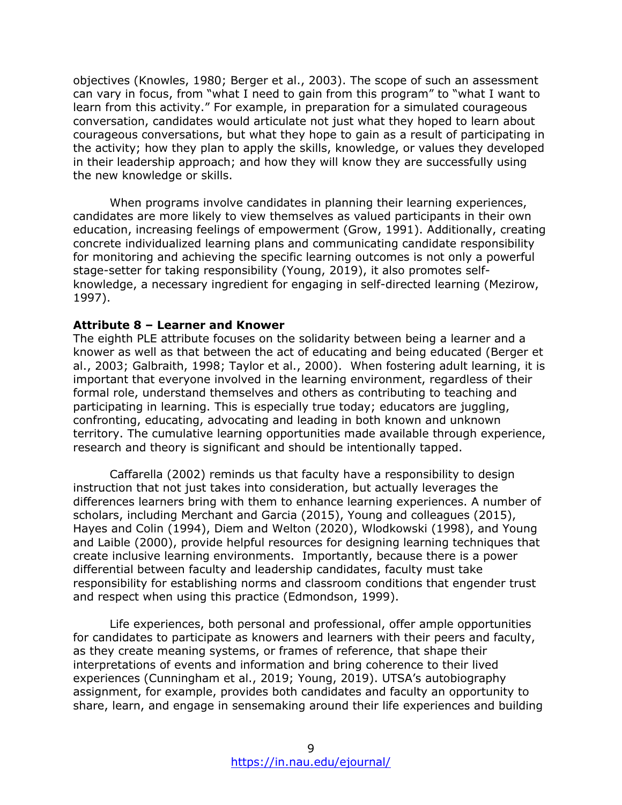objectives (Knowles, 1980; Berger et al., 2003). The scope of such an assessment can vary in focus, from "what I need to gain from this program" to "what I want to learn from this activity." For example, in preparation for a simulated courageous conversation, candidates would articulate not just what they hoped to learn about courageous conversations, but what they hope to gain as a result of participating in the activity; how they plan to apply the skills, knowledge, or values they developed in their leadership approach; and how they will know they are successfully using the new knowledge or skills.

When programs involve candidates in planning their learning experiences, candidates are more likely to view themselves as valued participants in their own education, increasing feelings of empowerment (Grow, 1991). Additionally, creating concrete individualized learning plans and communicating candidate responsibility for monitoring and achieving the specific learning outcomes is not only a powerful stage-setter for taking responsibility (Young, 2019), it also promotes selfknowledge, a necessary ingredient for engaging in self-directed learning (Mezirow, 1997).

#### **Attribute 8 – Learner and Knower**

The eighth PLE attribute focuses on the solidarity between being a learner and a knower as well as that between the act of educating and being educated (Berger et al., 2003; Galbraith, 1998; Taylor et al., 2000). When fostering adult learning, it is important that everyone involved in the learning environment, regardless of their formal role, understand themselves and others as contributing to teaching and participating in learning. This is especially true today; educators are juggling, confronting, educating, advocating and leading in both known and unknown territory. The cumulative learning opportunities made available through experience, research and theory is significant and should be intentionally tapped.

Caffarella (2002) reminds us that faculty have a responsibility to design instruction that not just takes into consideration, but actually leverages the differences learners bring with them to enhance learning experiences. A number of scholars, including Merchant and Garcia (2015), Young and colleagues (2015), Hayes and Colin (1994), Diem and Welton (2020), Wlodkowski (1998), and Young and Laible (2000), provide helpful resources for designing learning techniques that create inclusive learning environments. Importantly, because there is a power differential between faculty and leadership candidates, faculty must take responsibility for establishing norms and classroom conditions that engender trust and respect when using this practice (Edmondson, 1999).

Life experiences, both personal and professional, offer ample opportunities for candidates to participate as knowers and learners with their peers and faculty, as they create meaning systems, or frames of reference, that shape their interpretations of events and information and bring coherence to their lived experiences (Cunningham et al., 2019; Young, 2019). UTSA's autobiography assignment, for example, provides both candidates and faculty an opportunity to share, learn, and engage in sensemaking around their life experiences and building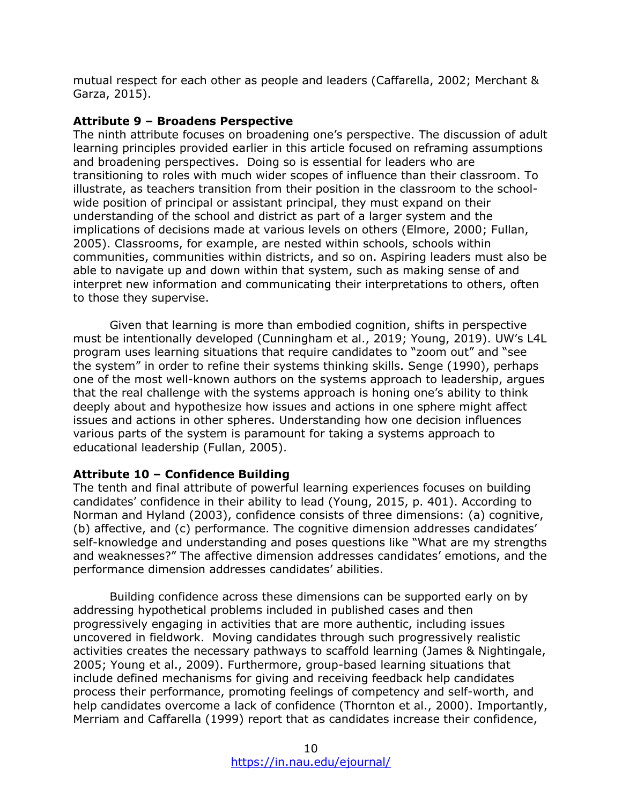mutual respect for each other as people and leaders (Caffarella, 2002; Merchant & Garza, 2015).

#### **Attribute 9 – Broadens Perspective**

The ninth attribute focuses on broadening one's perspective. The discussion of adult learning principles provided earlier in this article focused on reframing assumptions and broadening perspectives. Doing so is essential for leaders who are transitioning to roles with much wider scopes of influence than their classroom. To illustrate, as teachers transition from their position in the classroom to the schoolwide position of principal or assistant principal, they must expand on their understanding of the school and district as part of a larger system and the implications of decisions made at various levels on others (Elmore, 2000; Fullan, 2005). Classrooms, for example, are nested within schools, schools within communities, communities within districts, and so on. Aspiring leaders must also be able to navigate up and down within that system, such as making sense of and interpret new information and communicating their interpretations to others, often to those they supervise.

Given that learning is more than embodied cognition, shifts in perspective must be intentionally developed (Cunningham et al., 2019; Young, 2019). UW's L4L program uses learning situations that require candidates to "zoom out" and "see the system" in order to refine their systems thinking skills. Senge (1990), perhaps one of the most well-known authors on the systems approach to leadership, argues that the real challenge with the systems approach is honing one's ability to think deeply about and hypothesize how issues and actions in one sphere might affect issues and actions in other spheres. Understanding how one decision influences various parts of the system is paramount for taking a systems approach to educational leadership (Fullan, 2005).

## **Attribute 10 – Confidence Building**

The tenth and final attribute of powerful learning experiences focuses on building candidates' confidence in their ability to lead (Young, 2015, p. 401). According to Norman and Hyland (2003), confidence consists of three dimensions: (a) cognitive, (b) affective, and (c) performance. The cognitive dimension addresses candidates' self-knowledge and understanding and poses questions like "What are my strengths and weaknesses?" The affective dimension addresses candidates' emotions, and the performance dimension addresses candidates' abilities.

Building confidence across these dimensions can be supported early on by addressing hypothetical problems included in published cases and then progressively engaging in activities that are more authentic, including issues uncovered in fieldwork. Moving candidates through such progressively realistic activities creates the necessary pathways to scaffold learning (James & Nightingale, 2005; Young et al., 2009). Furthermore, group-based learning situations that include defined mechanisms for giving and receiving feedback help candidates process their performance, promoting feelings of competency and self-worth, and help candidates overcome a lack of confidence (Thornton et al., 2000). Importantly, Merriam and Caffarella (1999) report that as candidates increase their confidence,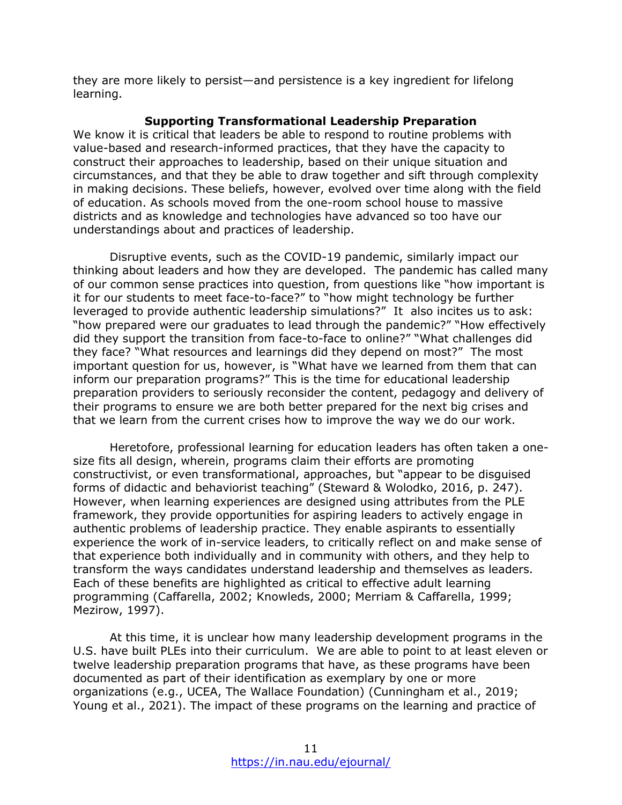they are more likely to persist—and persistence is a key ingredient for lifelong learning.

#### **Supporting Transformational Leadership Preparation**

We know it is critical that leaders be able to respond to routine problems with value-based and research-informed practices, that they have the capacity to construct their approaches to leadership, based on their unique situation and circumstances, and that they be able to draw together and sift through complexity in making decisions. These beliefs, however, evolved over time along with the field of education. As schools moved from the one-room school house to massive districts and as knowledge and technologies have advanced so too have our understandings about and practices of leadership.

Disruptive events, such as the COVID-19 pandemic, similarly impact our thinking about leaders and how they are developed. The pandemic has called many of our common sense practices into question, from questions like "how important is it for our students to meet face-to-face?" to "how might technology be further leveraged to provide authentic leadership simulations?" It also incites us to ask: "how prepared were our graduates to lead through the pandemic?" "How effectively did they support the transition from face-to-face to online?" "What challenges did they face? "What resources and learnings did they depend on most?" The most important question for us, however, is "What have we learned from them that can inform our preparation programs?" This is the time for educational leadership preparation providers to seriously reconsider the content, pedagogy and delivery of their programs to ensure we are both better prepared for the next big crises and that we learn from the current crises how to improve the way we do our work.

Heretofore, professional learning for education leaders has often taken a onesize fits all design, wherein, programs claim their efforts are promoting constructivist, or even transformational, approaches, but "appear to be disguised forms of didactic and behaviorist teaching" (Steward & Wolodko, 2016, p. 247). However, when learning experiences are designed using attributes from the PLE framework, they provide opportunities for aspiring leaders to actively engage in authentic problems of leadership practice. They enable aspirants to essentially experience the work of in-service leaders, to critically reflect on and make sense of that experience both individually and in community with others, and they help to transform the ways candidates understand leadership and themselves as leaders. Each of these benefits are highlighted as critical to effective adult learning programming (Caffarella, 2002; Knowleds, 2000; Merriam & Caffarella, 1999; Mezirow, 1997).

At this time, it is unclear how many leadership development programs in the U.S. have built PLEs into their curriculum. We are able to point to at least eleven or twelve leadership preparation programs that have, as these programs have been documented as part of their identification as exemplary by one or more organizations (e.g., UCEA, The Wallace Foundation) (Cunningham et al., 2019; Young et al., 2021). The impact of these programs on the learning and practice of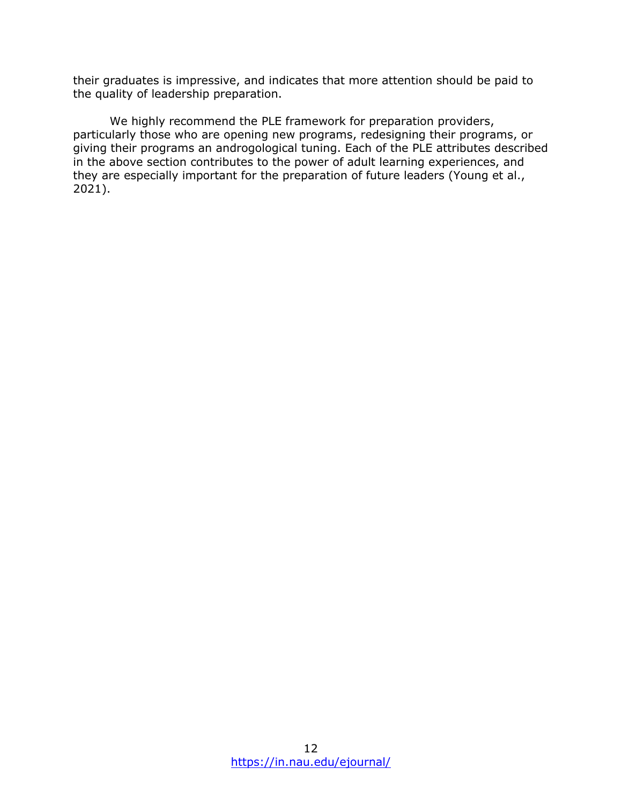their graduates is impressive, and indicates that more attention should be paid to the quality of leadership preparation.

We highly recommend the PLE framework for preparation providers, particularly those who are opening new programs, redesigning their programs, or giving their programs an androgological tuning. Each of the PLE attributes described in the above section contributes to the power of adult learning experiences, and they are especially important for the preparation of future leaders (Young et al., 2021).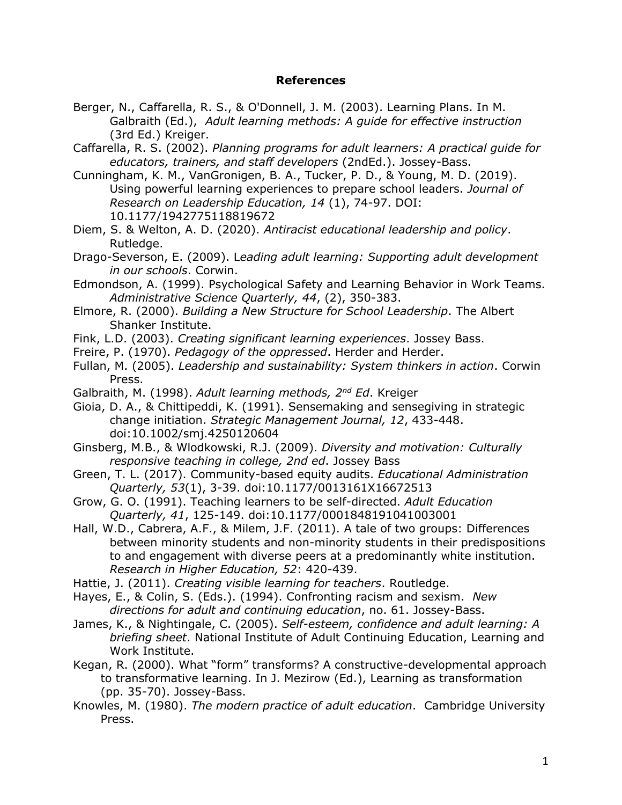#### **References**

- Berger, N., Caffarella, R. S., & O'Donnell, J. M. (2003). Learning Plans. In M. Galbraith (Ed.), *Adult learning methods: A guide for effective instruction* (3rd Ed.) Kreiger.
- Caffarella, R. S. (2002). *Planning programs for adult learners: A practical guide for educators, trainers, and staff developers* (2ndEd.). Jossey-Bass.
- Cunningham, K. M., VanGronigen, B. A., Tucker, P. D., & Young, M. D. (2019). Using powerful learning experiences to prepare school leaders. *Journal of Research on Leadership Education, 14* (1), 74-97. DOI: 10.1177/1942775118819672
- Diem, S. & Welton, A. D. (2020). *Antiracist educational leadership and policy*. Rutledge.
- Drago-Severson, E. (2009). L*eading adult learning: Supporting adult development in our schools*. Corwin.
- Edmondson, A. (1999). Psychological Safety and Learning Behavior in Work Teams. *Administrative Science Quarterly, 44*, (2), 350-383.
- Elmore, R. (2000). *Building a New Structure for School Leadership*. The Albert Shanker Institute.
- Fink, L.D. (2003). *Creating significant learning experiences*. Jossey Bass.
- Freire, P. (1970). *Pedagogy of the oppressed*. Herder and Herder.
- Fullan, M. (2005). *Leadership and sustainability: System thinkers in action*. Corwin Press.
- Galbraith, M. (1998). *Adult learning methods, 2nd Ed*. Kreiger
- Gioia, D. A., & Chittipeddi, K. (1991). Sensemaking and sensegiving in strategic change initiation. *Strategic Management Journal, 12*, 433-448. doi:10.1002/smj.4250120604
- Ginsberg, M.B., & Wlodkowski, R.J. (2009). *Diversity and motivation: Culturally responsive teaching in college, 2nd ed*. Jossey Bass
- Green, T. L. (2017). Community-based equity audits. *Educational Administration Quarterly, 53*(1), 3-39. doi:10.1177/0013161X16672513
- Grow, G. O. (1991). Teaching learners to be self-directed. *Adult Education Quarterly, 41*, 125-149. doi:10.1177/0001848191041003001
- Hall, W.D., Cabrera, A.F., & Milem, J.F. (2011). A tale of two groups: Differences between minority students and non-minority students in their predispositions to and engagement with diverse peers at a predominantly white institution. *Research in Higher Education, 52*: 420-439.
- Hattie, J. (2011). *Creating visible learning for teachers*. Routledge.
- Hayes, E., & Colin, S. (Eds.). (1994). Confronting racism and sexism. *New directions for adult and continuing education*, no. 61. Jossey-Bass.
- James, K., & Nightingale, C. (2005). *Self-esteem, confidence and adult learning: A briefing sheet*. National Institute of Adult Continuing Education, Learning and Work Institute.
- Kegan, R. (2000). What "form" transforms? A constructive-developmental approach to transformative learning. In J. Mezirow (Ed.), Learning as transformation (pp. 35-70). Jossey-Bass.
- Knowles, M. (1980). *The modern practice of adult education*. Cambridge University Press.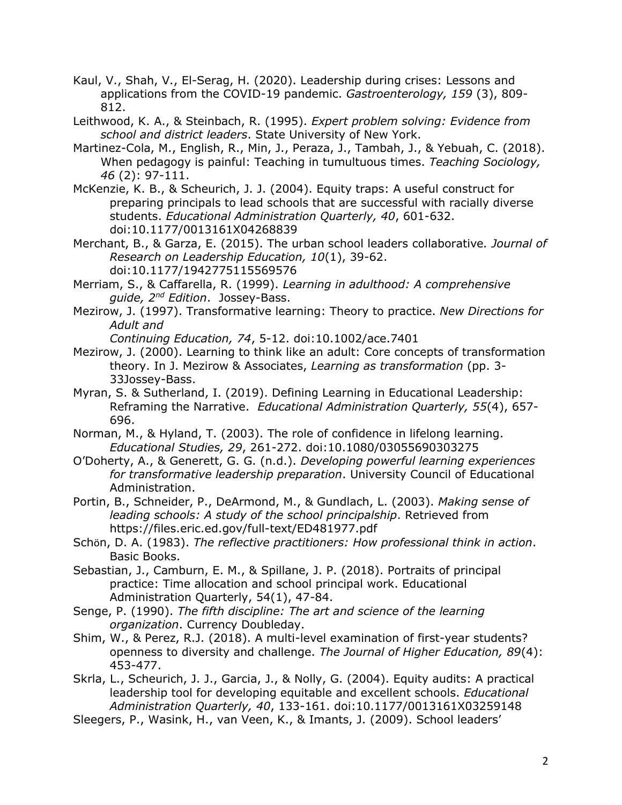- Kaul, V., Shah, V., El-Serag, H. (2020). Leadership during crises: Lessons and applications from the COVID-19 pandemic. *Gastroenterology, 159* (3), 809- 812.
- Leithwood, K. A., & Steinbach, R. (1995). *Expert problem solving: Evidence from school and district leaders*. State University of New York.
- Martinez-Cola, M., English, R., Min, J., Peraza, J., Tambah, J., & Yebuah, C. (2018). When pedagogy is painful: Teaching in tumultuous times. *Teaching Sociology, 46* (2): 97-111.
- McKenzie, K. B., & Scheurich, J. J. (2004). Equity traps: A useful construct for preparing principals to lead schools that are successful with racially diverse students. *Educational Administration Quarterly, 40*, 601-632. doi:10.1177/0013161X04268839
- Merchant, B., & Garza, E. (2015). The urban school leaders collaborative*. Journal of Research on Leadership Education, 10*(1), 39-62. doi:10.1177/1942775115569576
- Merriam, S., & Caffarella, R. (1999). *Learning in adulthood: A comprehensive guide, 2nd Edition*. Jossey-Bass.
- Mezirow, J. (1997). Transformative learning: Theory to practice. *New Directions for Adult and*

*Continuing Education, 74*, 5-12. doi:10.1002/ace.7401

- Mezirow, J. (2000). Learning to think like an adult: Core concepts of transformation theory. In J. Mezirow & Associates, *Learning as transformation* (pp. 3- 33Jossey-Bass.
- Myran, S. & Sutherland, I. (2019). Defining Learning in Educational Leadership: Reframing the Narrative. *Educational Administration Quarterly, 55*(4), 657- 696.
- Norman, M., & Hyland, T. (2003). The role of confidence in lifelong learning. *Educational Studies, 29*, 261-272. doi:10.1080/03055690303275
- O'Doherty, A., & Generett, G. G. (n.d.). *Developing powerful learning experiences for transformative leadership preparation*. University Council of Educational Administration.
- Portin, B., Schneider, P., DeArmond, M., & Gundlach, L. (2003). *Making sense of leading schools: A study of the school principalship*. Retrieved from https://files.eric.ed.gov/full-text/ED481977.pdf
- Schӧn, D. A. (1983). *The reflective practitioners: How professional think in action*. Basic Books.
- Sebastian, J., Camburn, E. M., & Spillane, J. P. (2018). Portraits of principal practice: Time allocation and school principal work. Educational Administration Quarterly, 54(1), 47-84.
- Senge, P. (1990). *The fifth discipline: The art and science of the learning organization*. Currency Doubleday.
- Shim, W., & Perez, R.J. (2018). A multi-level examination of first-year students? openness to diversity and challenge. *The Journal of Higher Education, 89*(4): 453-477.
- Skrla, L., Scheurich, J. J., Garcia, J., & Nolly, G. (2004). Equity audits: A practical leadership tool for developing equitable and excellent schools. *Educational Administration Quarterly, 40*, 133-161. doi:10.1177/0013161X03259148
- Sleegers, P., Wasink, H., van Veen, K., & Imants, J. (2009). School leaders'